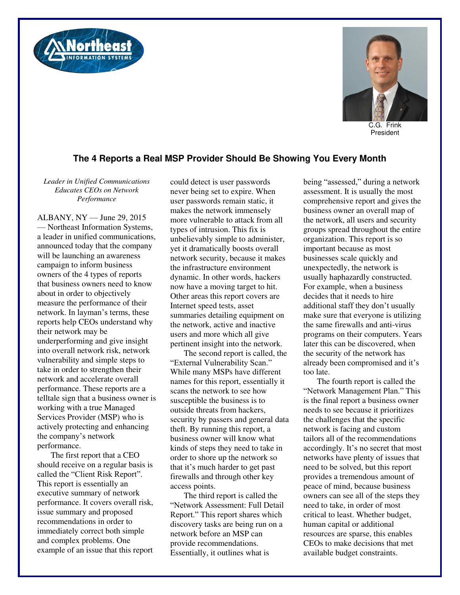



C.G. Frink President

## **The 4 Reports a Real MSP Provider Should Be Showing You Every Month**

*Leader in Unified Communications Educates CEOs on Network Performance* 

ALBANY, NY — June 29, 2015 — Northeast Information Systems, a leader in unified communications, announced today that the company will be launching an awareness campaign to inform business owners of the 4 types of reports that business owners need to know about in order to objectively measure the performance of their network. In layman's terms, these reports help CEOs understand why their network may be underperforming and give insight into overall network risk, network vulnerability and simple steps to take in order to strengthen their network and accelerate overall performance. These reports are a telltale sign that a business owner is working with a true Managed Services Provider (MSP) who is actively protecting and enhancing the company's network performance.

The first report that a CEO should receive on a regular basis is called the "Client Risk Report". This report is essentially an executive summary of network performance. It covers overall risk, issue summary and proposed recommendations in order to immediately correct both simple and complex problems. One example of an issue that this report

could detect is user passwords never being set to expire. When user passwords remain static, it makes the network immensely more vulnerable to attack from all types of intrusion. This fix is unbelievably simple to administer, yet it dramatically boosts overall network security, because it makes the infrastructure environment dynamic. In other words, hackers now have a moving target to hit. Other areas this report covers are Internet speed tests, asset summaries detailing equipment on the network, active and inactive users and more which all give pertinent insight into the network.

The second report is called, the "External Vulnerability Scan." While many MSPs have different names for this report, essentially it scans the network to see how susceptible the business is to outside threats from hackers, security by passers and general data theft. By running this report, a business owner will know what kinds of steps they need to take in order to shore up the network so that it's much harder to get past firewalls and through other key access points.

The third report is called the "Network Assessment: Full Detail Report." This report shares which discovery tasks are being run on a network before an MSP can provide recommendations. Essentially, it outlines what is

being "assessed," during a network assessment. It is usually the most comprehensive report and gives the business owner an overall map of the network, all users and security groups spread throughout the entire organization. This report is so important because as most businesses scale quickly and unexpectedly, the network is usually haphazardly constructed. For example, when a business decides that it needs to hire additional staff they don't usually make sure that everyone is utilizing the same firewalls and anti-virus programs on their computers. Years later this can be discovered, when the security of the network has already been compromised and it's too late.

The fourth report is called the "Network Management Plan." This is the final report a business owner needs to see because it prioritizes the challenges that the specific network is facing and custom tailors all of the recommendations accordingly. It's no secret that most networks have plenty of issues that need to be solved, but this report provides a tremendous amount of peace of mind, because business owners can see all of the steps they need to take, in order of most critical to least. Whether budget, human capital or additional resources are sparse, this enables CEOs to make decisions that met available budget constraints.